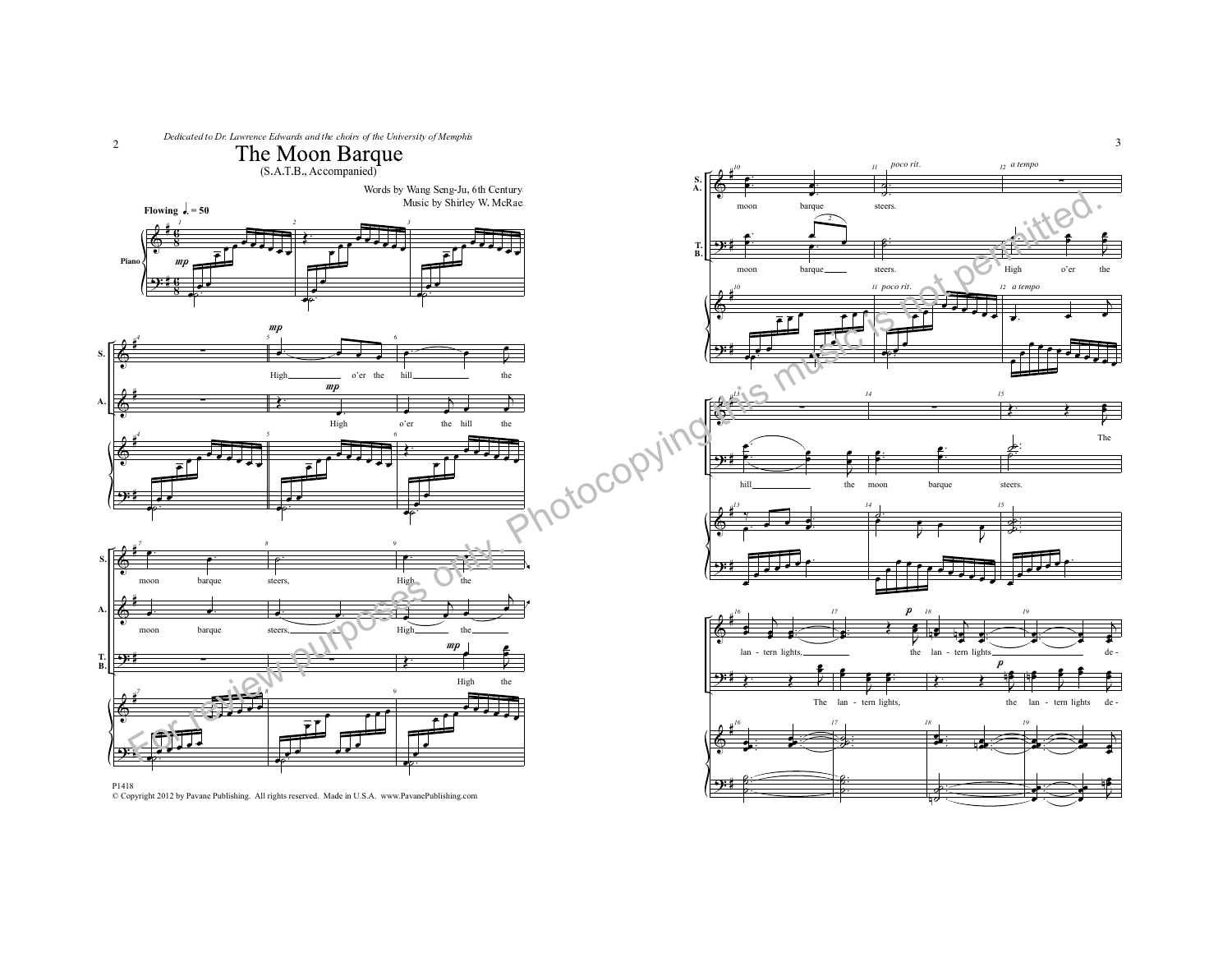



Copyright 2012 by Pavane Publishing. All rights reserved. Made in U.S.A. www.PavanePublishing.com

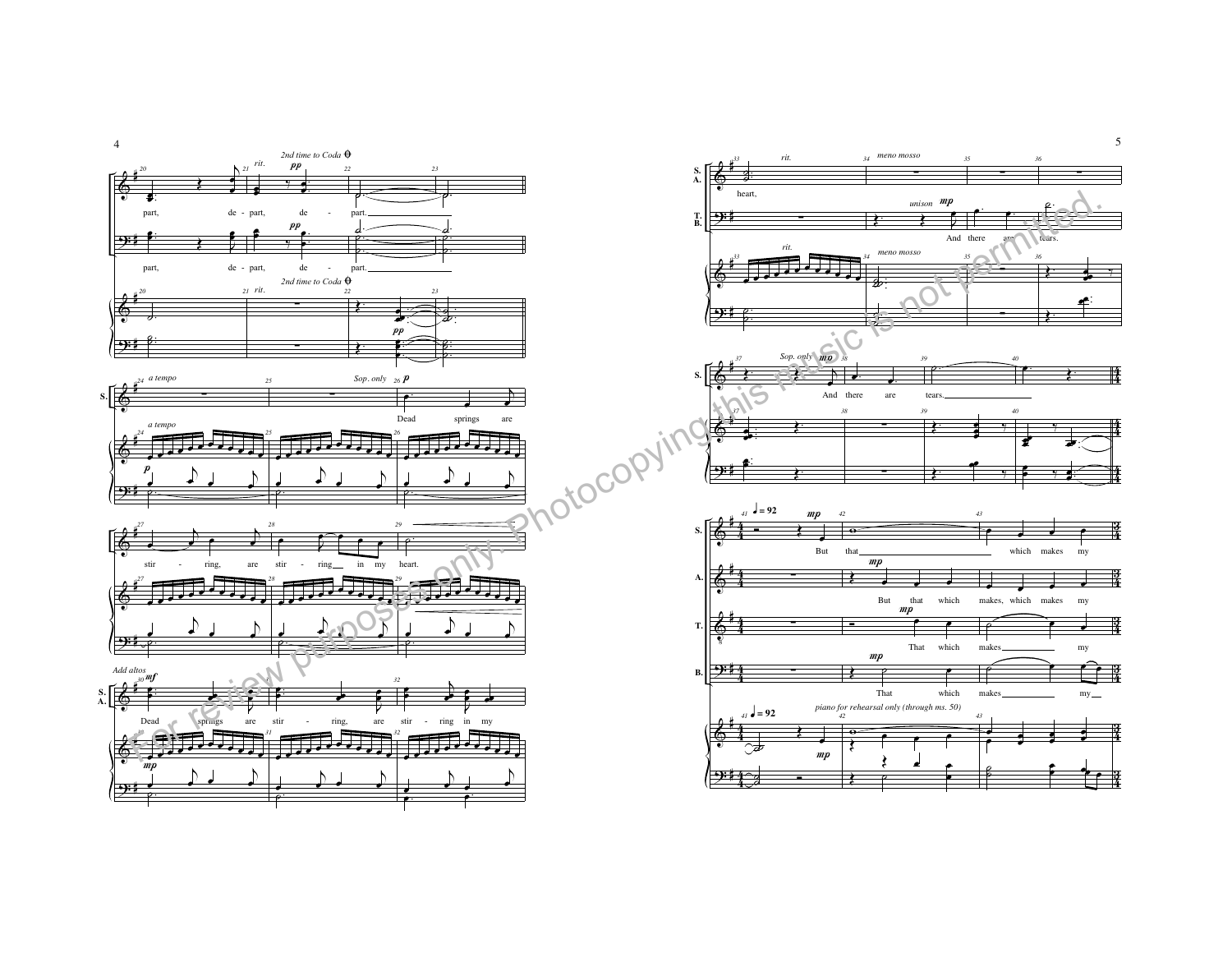



5